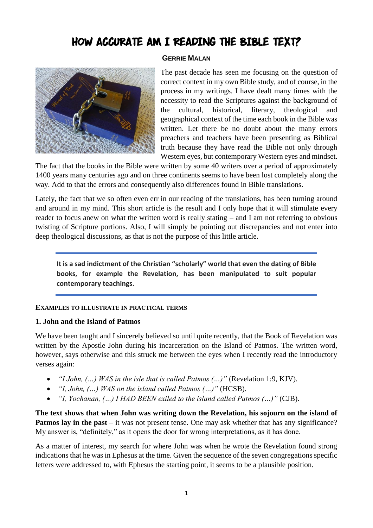# HOW ACCURATE AM I READING THE BIBLE TEXT?

#### **GERRIE MALAN**



The past decade has seen me focusing on the question of correct context in my own Bible study, and of course, in the process in my writings. I have dealt many times with the necessity to read the Scriptures against the background of the cultural, historical, literary, theological and geographical context of the time each book in the Bible was written. Let there be no doubt about the many errors preachers and teachers have been presenting as Biblical truth because they have read the Bible not only through Western eyes, but contemporary Western eyes and mindset.

The fact that the books in the Bible were written by some 40 writers over a period of approximately 1400 years many centuries ago and on three continents seems to have been lost completely along the way. Add to that the errors and consequently also differences found in Bible translations.

Lately, the fact that we so often even err in our reading of the translations, has been turning around and around in my mind. This short article is the result and I only hope that it will stimulate every reader to focus anew on what the written word is really stating – and I am not referring to obvious twisting of Scripture portions. Also, I will simply be pointing out discrepancies and not enter into deep theological discussions, as that is not the purpose of this little article.

**It is a sad indictment of the Christian "scholarly" world that even the dating of Bible books, for example the Revelation, has been manipulated to suit popular contemporary teachings.**

### **EXAMPLES TO ILLUSTRATE IN PRACTICAL TERMS**

### **1. John and the Island of Patmos**

We have been taught and I sincerely believed so until quite recently, that the Book of Revelation was written by the Apostle John during his incarceration on the Island of Patmos. The written word, however, says otherwise and this struck me between the eyes when I recently read the introductory verses again:

- *"I John, (…) WAS in the isle that is called Patmos (…)"* (Revelation 1:9, KJV).
- *"I, John, (…) WAS on the island called Patmos (…)"* (HCSB).
- *"I, Yochanan, (…) I HAD BEEN exiled to the island called Patmos (…)"* (CJB).

**The text shows that when John was writing down the Revelation, his sojourn on the island of Patmos lay in the past** – it was not present tense. One may ask whether that has any significance? My answer is, "definitely," as it opens the door for wrong interpretations, as it has done.

As a matter of interest, my search for where John was when he wrote the Revelation found strong indications that he was in Ephesus at the time. Given the sequence of the seven congregations specific letters were addressed to, with Ephesus the starting point, it seems to be a plausible position.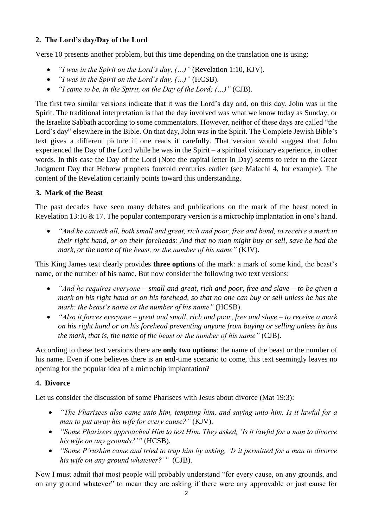# **2. The Lord's day/Day of the Lord**

Verse 10 presents another problem, but this time depending on the translation one is using:

- *"I was in the Spirit on the Lord's day, (…)"* (Revelation 1:10, KJV).
- *"I was in the Spirit on the Lord's day, (…)"* (HCSB).
- *"I came to be, in the Spirit, on the Day of the Lord; (…)"* (CJB).

The first two similar versions indicate that it was the Lord's day and, on this day, John was in the Spirit. The traditional interpretation is that the day involved was what we know today as Sunday, or the Israelite Sabbath according to some commentators. However, neither of these days are called "the Lord's day" elsewhere in the Bible. On that day, John was in the Spirit. The Complete Jewish Bible's text gives a different picture if one reads it carefully. That version would suggest that John experienced the Day of the Lord while he was in the Spirit – a spiritual visionary experience, in other words. In this case the Day of the Lord (Note the capital letter in Day) seems to refer to the Great Judgment Day that Hebrew prophets foretold centuries earlier (see Malachi 4, for example). The content of the Revelation certainly points toward this understanding.

# **3. Mark of the Beast**

The past decades have seen many debates and publications on the mark of the beast noted in Revelation 13:16 & 17. The popular contemporary version is a microchip implantation in one's hand.

• *"And he causeth all, both small and great, rich and poor, free and bond, to receive a mark in their right hand, or on their foreheads: And that no man might buy or sell, save he had the mark, or the name of the beast, or the number of his name*" (KJV).

This King James text clearly provides **three options** of the mark: a mark of some kind, the beast's name, or the number of his name. But now consider the following two text versions:

- *"And he requires everyone – small and great, rich and poor, free and slave – to be given a mark on his right hand or on his forehead, so that no one can buy or sell unless he has the mark: the beast's name or the number of his name"* (HCSB).
- *"Also it forces everyone – great and small, rich and poor, free and slave – to receive a mark on his right hand or on his forehead preventing anyone from buying or selling unless he has the mark, that is, the name of the beast or the number of his name"* (CJB).

According to these text versions there are **only two options**: the name of the beast or the number of his name. Even if one believes there is an end-time scenario to come, this text seemingly leaves no opening for the popular idea of a microchip implantation?

## **4. Divorce**

Let us consider the discussion of some Pharisees with Jesus about divorce (Mat 19:3):

- *"The Pharisees also came unto him, tempting him, and saying unto him, Is it lawful for a man to put away his wife for every cause?"* (KJV).
- *"Some Pharisees approached Him to test Him. They asked, 'Is it lawful for a man to divorce his wife on any grounds?'"* (HCSB).
- *"Some P'rushim came and tried to trap him by asking, 'Is it permitted for a man to divorce his wife on any ground whatever?'"* (CJB).

Now I must admit that most people will probably understand "for every cause, on any grounds, and on any ground whatever" to mean they are asking if there were any approvable or just cause for